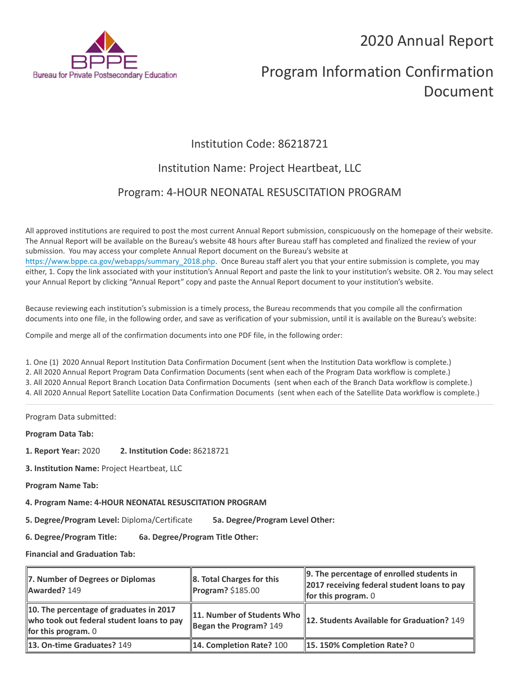2020 Annual Report



# Program Information Confirmation Document

# Institution Code: 86218721

## Institution Name: Project Heartbeat, LLC

## Program: 4-HOUR NEONATAL RESUSCITATION PROGRAM

All approved institutions are required to post the most current Annual Report submission, conspicuously on the homepage of their website. The Annual Report will be available on the Bureau's website 48 hours after Bureau staff has completed and finalized the review of your submission. You may access your complete Annual Report document on the Bureau's website at [https://www.bppe.ca.gov/webapps/summary\\_2018.php.](https://www.bppe.ca.gov/webapps/summary_2018.php) Once Bureau staff alert you that your entire submission is complete, you may either, 1. Copy the link associated with your institution's Annual Report and paste the link to your institution's website. OR 2. You may select your Annual Report by clicking "Annual Report" copy and paste the Annual Report document to your institution's website.

Because reviewing each institution's submission is a timely process, the Bureau recommends that you compile all the confirmation documents into one file, in the following order, and save as verification of your submission, until it is available on the Bureau's website:

Compile and merge all of the confirmation documents into one PDF file, in the following order:

1. One (1) 2020 Annual Report Institution Data Confirmation Document (sent when the Institution Data workflow is complete.) 2. All 2020 Annual Report Program Data Confirmation Documents (sent when each of the Program Data workflow is complete.) 3. All 2020 Annual Report Branch Location Data Confirmation Documents (sent when each of the Branch Data workflow is complete.) 4. All 2020 Annual Report Satellite Location Data Confirmation Documents (sent when each of the Satellite Data workflow is complete.)

Program Data submitted:

**Program Data Tab:**

- **1. Report Year:** 2020 **2. Institution Code:** 86218721
- **3. Institution Name:** Project Heartbeat, LLC
- **Program Name Tab:**
- **4. Program Name: 4-HOUR NEONATAL RESUSCITATION PROGRAM**

**5. Degree/Program Level:** Diploma/Certificate **5a. Degree/Program Level Other:**

**6. Degree/Program Title: 6a. Degree/Program Title Other:**

**Financial and Graduation Tab:**

| 7. Number of Degrees or Diplomas<br>Awarded? 149                                                                     | 8. Total Charges for this<br>Program? \$185.00       | $\parallel$ 9. The percentage of enrolled students in<br>2017 receiving federal student loans to pay<br><b>for this program.</b> $0$ |
|----------------------------------------------------------------------------------------------------------------------|------------------------------------------------------|--------------------------------------------------------------------------------------------------------------------------------------|
| 10. The percentage of graduates in 2017<br>who took out federal student loans to pay<br><b>for this program.</b> $0$ | 11. Number of Students Who<br>Began the Program? 149 | 12. Students Available for Graduation? 149                                                                                           |
| 13. On-time Graduates? 149                                                                                           | 14. Completion Rate? 100                             | $\parallel$ 15. 150% Completion Rate? 0                                                                                              |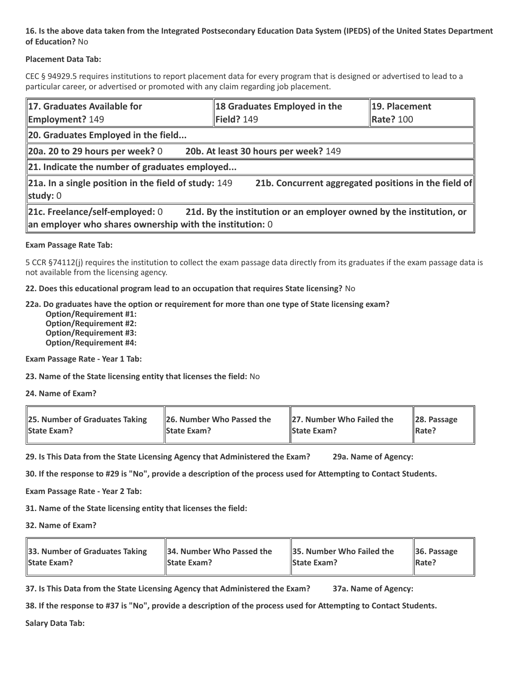#### **16. Is the above data taken from the Integrated Postsecondary Education Data System (IPEDS) of the United States Department of Education?** No

#### **Placement Data Tab:**

CEC § 94929.5 requires institutions to report placement data for every program that is designed or advertised to lead to a particular career, or advertised or promoted with any claim regarding job placement.

| 17. Graduates Available for<br><b>Employment? 149</b>                                                                                                                | 18 Graduates Employed in the<br>Field? 149           | 19. Placement<br><b>Rate? 100</b> |  |  |
|----------------------------------------------------------------------------------------------------------------------------------------------------------------------|------------------------------------------------------|-----------------------------------|--|--|
| 20. Graduates Employed in the field                                                                                                                                  |                                                      |                                   |  |  |
| 20a. 20 to 29 hours per week? $0$                                                                                                                                    | 20b. At least 30 hours per week? 149                 |                                   |  |  |
| $\ $ 21. Indicate the number of graduates employed                                                                                                                   |                                                      |                                   |  |  |
| $\vert$ 21a. In a single position in the field of study: 149<br>study: 0                                                                                             | 21b. Concurrent aggregated positions in the field of |                                   |  |  |
| 21c. Freelance/self-employed: 0<br>21d. By the institution or an employer owned by the institution, or<br>an employer who shares ownership with the institution: $0$ |                                                      |                                   |  |  |

#### **Exam Passage Rate Tab:**

5 CCR §74112(j) requires the institution to collect the exam passage data directly from its graduates if the exam passage data is not available from the licensing agency.

**22. Does this educational program lead to an occupation that requires State licensing?** No

#### **22a. Do graduates have the option or requirement for more than one type of State licensing exam?**

 **Option/Requirement #1: Option/Requirement #2: Option/Requirement #3: Option/Requirement #4:**

**Exam Passage Rate - Year 1 Tab:**

**23. Name of the State licensing entity that licenses the field:** No

**24. Name of Exam?**

| 25. Number of Graduates Taking | 26. Number Who Passed the | <b>27. Number Who Failed the</b> | $\ 28.$ Passage |
|--------------------------------|---------------------------|----------------------------------|-----------------|
| <b>State Exam?</b>             | <b>State Exam?</b>        | <b>State Exam?</b>               | Rate?           |

**29. Is This Data from the State Licensing Agency that Administered the Exam? 29a. Name of Agency:**

**30. If the response to #29 is "No", provide a description of the process used for Attempting to Contact Students.**

**Exam Passage Rate - Year 2 Tab:**

**31. Name of the State licensing entity that licenses the field:**

**32. Name of Exam?**

| 33. Number of Graduates Taking | 34. Number Who Passed the | <b>35. Number Who Failed the</b> | $\parallel$ 36. Passage |
|--------------------------------|---------------------------|----------------------------------|-------------------------|
| <b>State Exam?</b>             | <b>State Exam?</b>        | <b>State Exam?</b>               | $\parallel$ Rate?       |

**37. Is This Data from the State Licensing Agency that Administered the Exam? 37a. Name of Agency:**

**38. If the response to #37 is "No", provide a description of the process used for Attempting to Contact Students.** 

**Salary Data Tab:**